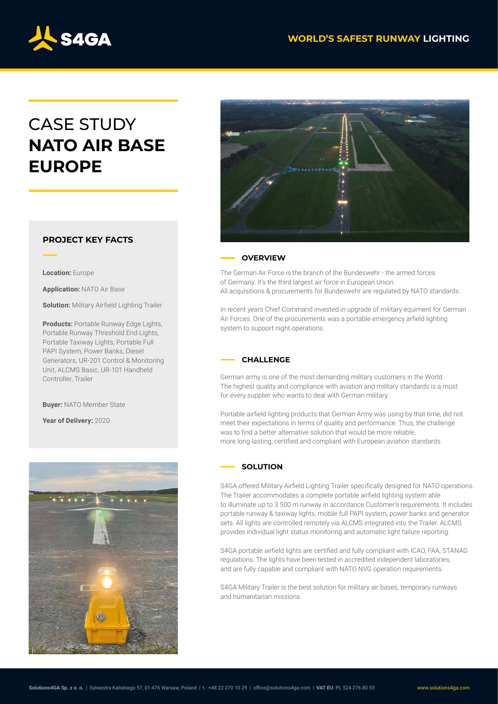

# CASE STUDY **NATO AIR BASE EUROPE**

### **PROJECT KEY FACTS**

**Location:** Europe

**Application:** NATO Air Base

**Solution:** Military Airfield Lighting Trailer

**Products:** Portable Runway Edge Lights, Portable Runway Threshold End Lights, Portable Taxiway Lights, Portable Full PAPI System, Power Banks, Diesel Generators, UR-201 Control & Monitoring Unit, ALCMS Basic, UR-101 Handheld Controller, Trailer

**Buyer:** NATO Member State

**Year of Delivery:** 2020





#### **OVERVIEW**

The German Air Force is the branch of the Bundeswehr - the armed forces of Germany. It's the third largest air force in European Union. All acquisitions & procurements for Bundeswehr are regulated by NATO standards.

In recent years Chief Command invested in upgrade of military equiment for German Air Forces. One of the procurements was a portable emergency arfield lighting system to support night operations.

#### **CHALLENGE**

German army is one of the most demanding military customers in the World. The highest quality and compliance with aviation and military standards is a must for every supplier who wants to deal with German military.

Portable airfield lighting products that German Army was using by that time, did not meet their expectations in terms of quality and performance. Thus, the challenge was to find a better alternative solution that would be more reliable, more long-lasting, certified and compliant with European aviation standards.

#### **SOLUTION**

S4GA offered Military Airfield Lighting Trailer specifically designed for NATO operations. The Trailer accommodates a complete portable airfield lighting system able to illuminate up to 3 500 m runway in accordance Customer's requirements. It includes portable runway & taxiway lights, mobile full PAPI system, power banks and generator sets. All lights are controlled remotely via ALCMS integrated into the Trailer. ALCMS provides individual light status monitoring and automatic light failure reporting.

S4GA portable airfield lights are certified and fully compliant with ICAO, FAA, STANAG regulations. The lights have been tested in accredited independent laboratories, and are fully capable and compliant with NATO NVG operation requirements.

S4GA Military Trailer is the best solution for military air bases, temporary runways and humanitarian missions.